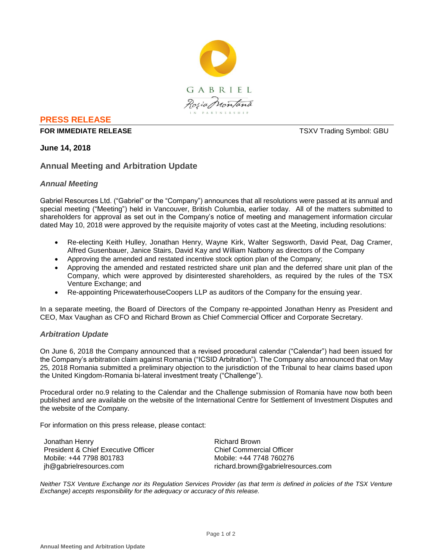

## **PRESS RELEASE**

#### **FOR IMMEDIATE RELEASE THE SECOND SYMBOL: GBU TSXV Trading Symbol: GBU**

# **June 14, 2018**

# **Annual Meeting and Arbitration Update**

## *Annual Meeting*

Gabriel Resources Ltd. ("Gabriel" or the "Company") announces that all resolutions were passed at its annual and special meeting ("Meeting") held in Vancouver, British Columbia, earlier today. All of the matters submitted to shareholders for approval as set out in the Company's notice of meeting and management information circular dated May 10, 2018 were approved by the requisite majority of votes cast at the Meeting, including resolutions:

- Re-electing Keith Hulley, Jonathan Henry, Wayne Kirk, Walter Segsworth, David Peat, Dag Cramer, Alfred Gusenbauer, Janice Stairs, David Kay and William Natbony as directors of the Company
- Approving the amended and restated incentive stock option plan of the Company;
- Approving the amended and restated restricted share unit plan and the deferred share unit plan of the Company, which were approved by disinterested shareholders, as required by the rules of the TSX Venture Exchange; and
- Re-appointing PricewaterhouseCoopers LLP as auditors of the Company for the ensuing year.

In a separate meeting, the Board of Directors of the Company re-appointed Jonathan Henry as President and CEO, Max Vaughan as CFO and Richard Brown as Chief Commercial Officer and Corporate Secretary.

## *Arbitration Update*

On June 6, 2018 the Company announced that a revised procedural calendar ("Calendar") had been issued for the Company's arbitration claim against Romania ("ICSID Arbitration"). The Company also announced that on May 25, 2018 Romania submitted a preliminary objection to the jurisdiction of the Tribunal to hear claims based upon the United Kingdom-Romania bi-lateral investment treaty ("Challenge").

Procedural order no.9 relating to the Calendar and the Challenge submission of Romania have now both been published and are available on the website of the International Centre for Settlement of Investment Disputes and the website of the Company.

For information on this press release, please contact:

Jonathan Henry President & Chief Executive Officer Mobile: +44 7798 801783 jh@gabrielresources.com

Richard Brown Chief Commercial Officer Mobile: +44 7748 760276 richard.brown@gabrielresources.com

*Neither TSX Venture Exchange nor its Regulation Services Provider (as that term is defined in policies of the TSX Venture Exchange) accepts responsibility for the adequacy or accuracy of this release.*